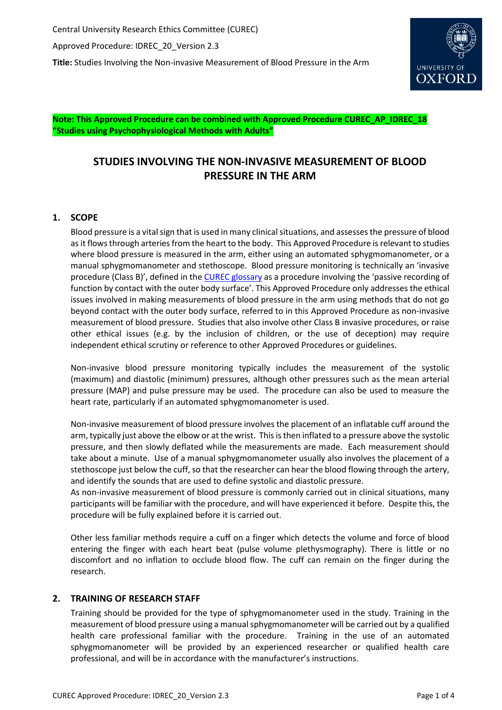

**Note: This Approved Procedure can be combined with Approved Procedure CUREC\_AP\_IDREC\_18 "Studies using Psychophysiological Methods with Adults"**

# **STUDIES INVOLVING THE NON-INVASIVE MEASUREMENT OF BLOOD PRESSURE IN THE ARM**

# **1. SCOPE**

Blood pressure is a vital sign that is used in many clinical situations, and assesses the pressure of blood as it flows through arteries from the heart to the body. This Approved Procedure is relevant to studies where blood pressure is measured in the arm, either using an automated sphygmomanometer, or a manual sphygmomanometer and stethoscope. Blood pressure monitoring is technically an 'invasive procedure (Class B)', defined in the [CUREC glossary](http://researchsupport.admin.ox.ac.uk/governance/ethics/faqs-glossary/glossary#I) as a procedure involving the 'passive recording of function by contact with the outer body surface'. This Approved Procedure only addresses the ethical issues involved in making measurements of blood pressure in the arm using methods that do not go beyond contact with the outer body surface, referred to in this Approved Procedure as non-invasive measurement of blood pressure. Studies that also involve other Class B invasive procedures, or raise other ethical issues (e.g. by the inclusion of children, or the use of deception) may require independent ethical scrutiny or reference to other Approved Procedures or guidelines.

Non-invasive blood pressure monitoring typically includes the measurement of the systolic (maximum) and diastolic (minimum) pressures, although other pressures such as the mean arterial pressure (MAP) and pulse pressure may be used. The procedure can also be used to measure the heart rate, particularly if an automated sphygmomanometer is used.

Non-invasive measurement of blood pressure involves the placement of an inflatable cuff around the arm, typically just above the elbow or at the wrist. This is then inflated to a pressure above the systolic pressure, and then slowly deflated while the measurements are made. Each measurement should take about a minute. Use of a manual sphygmomanometer usually also involves the placement of a stethoscope just below the cuff, so that the researcher can hear the blood flowing through the artery, and identify the sounds that are used to define systolic and diastolic pressure.

As non-invasive measurement of blood pressure is commonly carried out in clinical situations, many participants will be familiar with the procedure, and will have experienced it before. Despite this, the procedure will be fully explained before it is carried out.

Other less familiar methods require a cuff on a finger which detects the volume and force of blood entering the finger with each heart beat (pulse volume plethysmography). There is little or no discomfort and no inflation to occlude blood flow. The cuff can remain on the finger during the research.

# **2. TRAINING OF RESEARCH STAFF**

Training should be provided for the type of sphygmomanometer used in the study. Training in the measurement of blood pressure using a manual sphygmomanometer will be carried out by a qualified health care professional familiar with the procedure. Training in the use of an automated sphygmomanometer will be provided by an experienced researcher or qualified health care professional, and will be in accordance with the manufacturer's instructions.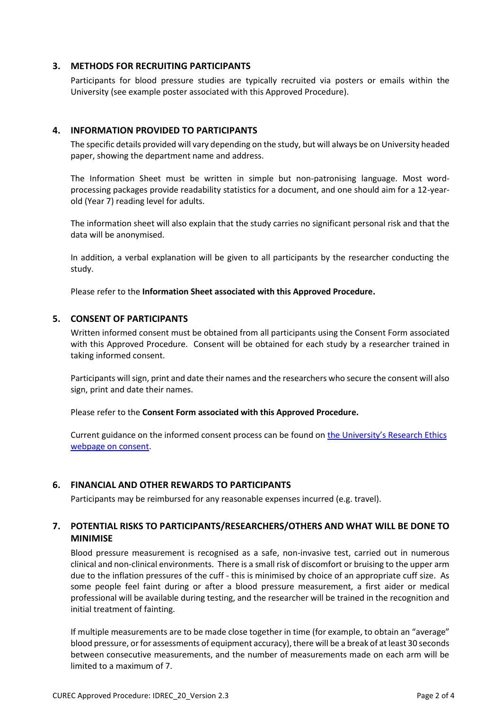### **3. METHODS FOR RECRUITING PARTICIPANTS**

Participants for blood pressure studies are typically recruited via posters or emails within the University (see example poster associated with this Approved Procedure).

## **4. INFORMATION PROVIDED TO PARTICIPANTS**

The specific details provided will vary depending on the study, but will always be on University headed paper, showing the department name and address.

The Information Sheet must be written in simple but non-patronising language. Most wordprocessing packages provide readability statistics for a document, and one should aim for a 12-yearold (Year 7) reading level for adults.

The information sheet will also explain that the study carries no significant personal risk and that the data will be anonymised.

In addition, a verbal explanation will be given to all participants by the researcher conducting the study.

Please refer to the **Information Sheet associated with this Approved Procedure.**

### **5. CONSENT OF PARTICIPANTS**

Written informed consent must be obtained from all participants using the Consent Form associated with this Approved Procedure. Consent will be obtained for each study by a researcher trained in taking informed consent.

Participants will sign, print and date their names and the researchers who secure the consent will also sign, print and date their names.

Please refer to the **Consent Form associated with this Approved Procedure.**

Current guidance on the informed consent process can be found on [the University's Research Ethics](http://www.admin.ox.ac.uk/curec/resources/informed-consent/)  [webpage on consent.](http://www.admin.ox.ac.uk/curec/resources/informed-consent/)

### **6. FINANCIAL AND OTHER REWARDS TO PARTICIPANTS**

Participants may be reimbursed for any reasonable expenses incurred (e.g. travel).

# **7. POTENTIAL RISKS TO PARTICIPANTS/RESEARCHERS/OTHERS AND WHAT WILL BE DONE TO MINIMISE**

Blood pressure measurement is recognised as a safe, non-invasive test, carried out in numerous clinical and non-clinical environments. There is a small risk of discomfort or bruising to the upper arm due to the inflation pressures of the cuff - this is minimised by choice of an appropriate cuff size. As some people feel faint during or after a blood pressure measurement, a first aider or medical professional will be available during testing, and the researcher will be trained in the recognition and initial treatment of fainting.

If multiple measurements are to be made close together in time (for example, to obtain an "average" blood pressure, or for assessments of equipment accuracy), there will be a break of at least 30 seconds between consecutive measurements, and the number of measurements made on each arm will be limited to a maximum of 7.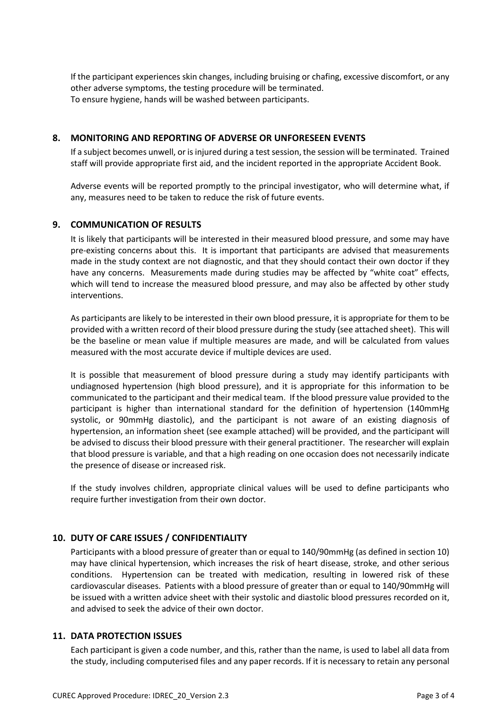If the participant experiences skin changes, including bruising or chafing, excessive discomfort, or any other adverse symptoms, the testing procedure will be terminated. To ensure hygiene, hands will be washed between participants.

## **8. MONITORING AND REPORTING OF ADVERSE OR UNFORESEEN EVENTS**

If a subject becomes unwell, or is injured during a test session, the session will be terminated. Trained staff will provide appropriate first aid, and the incident reported in the appropriate Accident Book.

Adverse events will be reported promptly to the principal investigator, who will determine what, if any, measures need to be taken to reduce the risk of future events.

### **9. COMMUNICATION OF RESULTS**

It is likely that participants will be interested in their measured blood pressure, and some may have pre-existing concerns about this. It is important that participants are advised that measurements made in the study context are not diagnostic, and that they should contact their own doctor if they have any concerns. Measurements made during studies may be affected by "white coat" effects, which will tend to increase the measured blood pressure, and may also be affected by other study interventions.

As participants are likely to be interested in their own blood pressure, it is appropriate for them to be provided with a written record of their blood pressure during the study (see attached sheet). This will be the baseline or mean value if multiple measures are made, and will be calculated from values measured with the most accurate device if multiple devices are used.

It is possible that measurement of blood pressure during a study may identify participants with undiagnosed hypertension (high blood pressure), and it is appropriate for this information to be communicated to the participant and their medical team. If the blood pressure value provided to the participant is higher than international standard for the definition of hypertension (140mmHg systolic, or 90mmHg diastolic), and the participant is not aware of an existing diagnosis of hypertension, an information sheet (see example attached) will be provided, and the participant will be advised to discuss their blood pressure with their general practitioner. The researcher will explain that blood pressure is variable, and that a high reading on one occasion does not necessarily indicate the presence of disease or increased risk.

If the study involves children, appropriate clinical values will be used to define participants who require further investigation from their own doctor.

# **10. DUTY OF CARE ISSUES / CONFIDENTIALITY**

Participants with a blood pressure of greater than or equal to 140/90mmHg (as defined in section 10) may have clinical hypertension, which increases the risk of heart disease, stroke, and other serious conditions. Hypertension can be treated with medication, resulting in lowered risk of these cardiovascular diseases. Patients with a blood pressure of greater than or equal to 140/90mmHg will be issued with a written advice sheet with their systolic and diastolic blood pressures recorded on it, and advised to seek the advice of their own doctor.

### **11. DATA PROTECTION ISSUES**

Each participant is given a code number, and this, rather than the name, is used to label all data from the study, including computerised files and any paper records. If it is necessary to retain any personal